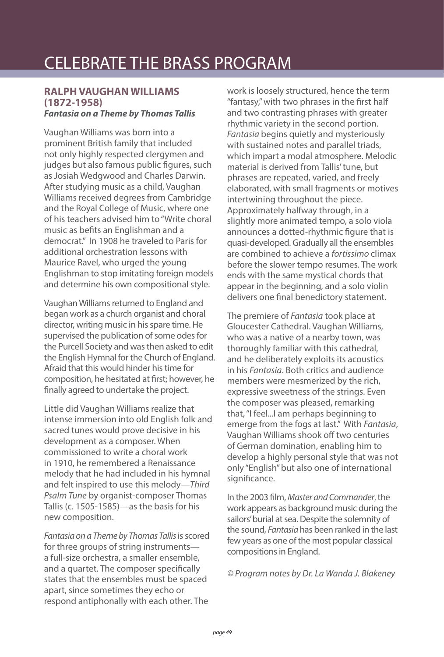# CELEBRATE THE BRASS PROGRAM

## **RALPH VAUGHAN WILLIAMS (1872-1958)**

#### **Fantasia on a Theme by Thomas Tallis**

Vaughan Williams was born into a prominent British family that included not only highly respected clergymen and judges but also famous public figures, such as Josiah Wedgwood and Charles Darwin. After studying music as a child, Vaughan Williams received degrees from Cambridge and the Royal College of Music, where one of his teachers advised him to "Write choral music as befits an Englishman and a democrat." In 1908 he traveled to Paris for additional orchestration lessons with Maurice Ravel, who urged the young Englishman to stop imitating foreign models and determine his own compositional style.

Vaughan Williams returned to England and began work as a church organist and choral director, writing music in his spare time. He supervised the publication of some odes for the Purcell Society and was then asked to edit the English Hymnal for the Church of England. Afraid that this would hinder his time for composition, he hesitated at first; however, he finally agreed to undertake the project.

Little did Vaughan Williams realize that intense immersion into old English folk and sacred tunes would prove decisive in his development as a composer. When commissioned to write a choral work in 1910, he remembered a Renaissance melody that he had included in his hymnal and felt inspired to use this melody—Third Psalm Tune by organist-composer Thomas Tallis (c. 1505-1585)—as the basis for his new composition.

Fantasia on a Theme by Thomas Tallis is scored for three groups of string instruments a full-size orchestra, a smaller ensemble, and a quartet. The composer specifically states that the ensembles must be spaced apart, since sometimes they echo or respond antiphonally with each other. The

work is loosely structured, hence the term "fantasy," with two phrases in the first half and two contrasting phrases with greater rhythmic variety in the second portion. Fantasia begins quietly and mysteriously with sustained notes and parallel triads, which impart a modal atmosphere. Melodic material is derived from Tallis' tune, but phrases are repeated, varied, and freely elaborated, with small fragments or motives intertwining throughout the piece. Approximately halfway through, in a slightly more animated tempo, a solo viola announces a dotted-rhythmic figure that is quasi-developed. Gradually all the ensembles are combined to achieve a fortissimo climax before the slower tempo resumes. The work ends with the same mystical chords that appear in the beginning, and a solo violin delivers one final benedictory statement.

The premiere of Fantasia took place at Gloucester Cathedral. Vaughan Williams, who was a native of a nearby town, was thoroughly familiar with this cathedral, and he deliberately exploits its acoustics in his Fantasia. Both critics and audience members were mesmerized by the rich, expressive sweetness of the strings. Even the composer was pleased, remarking that, "I feel...I am perhaps beginning to emerge from the fogs at last." With Fantasia, Vaughan Williams shook off two centuries of German domination, enabling him to develop a highly personal style that was not only "English" but also one of international significance.

In the 2003 film, Master and Commander, the work appears as background music during the sailors' burial at sea. Despite the solemnity of the sound, *Fantasia* has been ranked in the last few years as one of the most popular classical compositions in England.

© Program notes by Dr. La Wanda J. Blakeney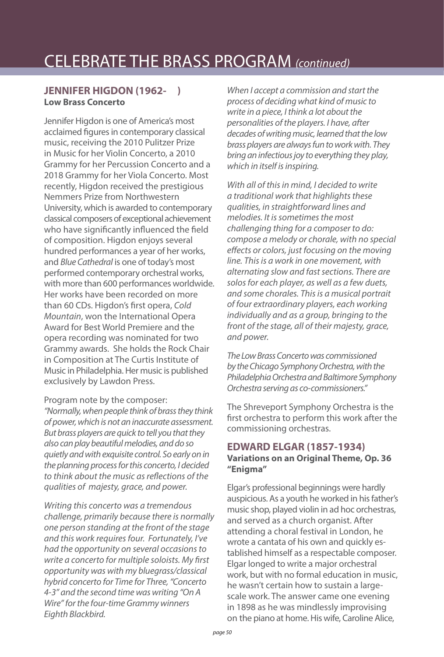### **JENNIFER HIGDON (1962- ) Low Brass Concerto**

Jennifer Higdon is one of America's most acclaimed figures in contemporary classical music, receiving the 2010 Pulitzer Prize in Music for her Violin Concerto, a 2010 Grammy for her Percussion Concerto and a 2018 Grammy for her Viola Concerto. Most recently, Higdon received the prestigious Nemmers Prize from Northwestern University, which is awarded to contemporary classical composers of exceptional achievement who have significantly influenced the field of composition. Higdon enjoys several hundred performances a year of her works, and Blue Cathedral is one of today's most performed contemporary orchestral works, with more than 600 performances worldwide. Her works have been recorded on more than 60 CDs. Higdon's first opera, Cold Mountain, won the International Opera Award for Best World Premiere and the opera recording was nominated for two Grammy awards. She holds the Rock Chair in Composition at The Curtis Institute of Music in Philadelphia. Her music is published exclusively by Lawdon Press.

Program note by the composer:

"Normally, when people think of brass they think of power, which is not an inaccurate assessment. But brass players are quick to tell you that they also can play beautiful melodies, and do so quietly and with exquisite control. So early on in the planning process for this concerto, I decided to think about the music as reflections of the qualities of majesty, grace, and power.

Writing this concerto was a tremendous challenge, primarily because there is normally one person standing at the front of the stage and this work requires four. Fortunately, I've had the opportunity on several occasions to write a concerto for multiple soloists. My first opportunity was with my bluegrass/classical hybrid concerto for Time for Three, "Concerto 4‐3" and the second time was writing "On A Wire" for the four‐time Grammy winners Eighth Blackbird.

When I accept a commission and start the process of deciding what kind of music to write in a piece, I think a lot about the personalities of the players. I have, after decades of writing music, learned that the low brass players are always fun to work with. They bring an infectious joy to everything they play, which in itself is inspiring.

With all of this in mind, I decided to write a traditional work that highlights these qualities, in straightforward lines and melodies. It is sometimes the most challenging thing for a composer to do: compose a melody or chorale, with no special effects or colors, just focusing on the moving line. This is a work in one movement, with alternating slow and fast sections. There are solos for each player, as well as a few duets, and some chorales. This is a musical portrait of four extraordinary players, each working individually and as a group, bringing to the front of the stage, all of their majesty, grace, and power.

The Low Brass Concerto was commissioned by the Chicago Symphony Orchestra, with the Philadelphia Orchestra and Baltimore Symphony Orchestra serving as co-commissioners."

The Shreveport Symphony Orchestra is the first orchestra to perform this work after the commissioning orchestras.

#### **EDWARD ELGAR (1857-1934) Variations on an Original Theme, Op. 36 "Enigma"**

Elgar's professional beginnings were hardly auspicious. As a youth he worked in his father's music shop, played violin in ad hoc orchestras, and served as a church organist. After attending a choral festival in London, he wrote a cantata of his own and quickly established himself as a respectable composer. Elgar longed to write a major orchestral work, but with no formal education in music, he wasn't certain how to sustain a largescale work. The answer came one evening in 1898 as he was mindlessly improvising on the piano at home. His wife, Caroline Alice,